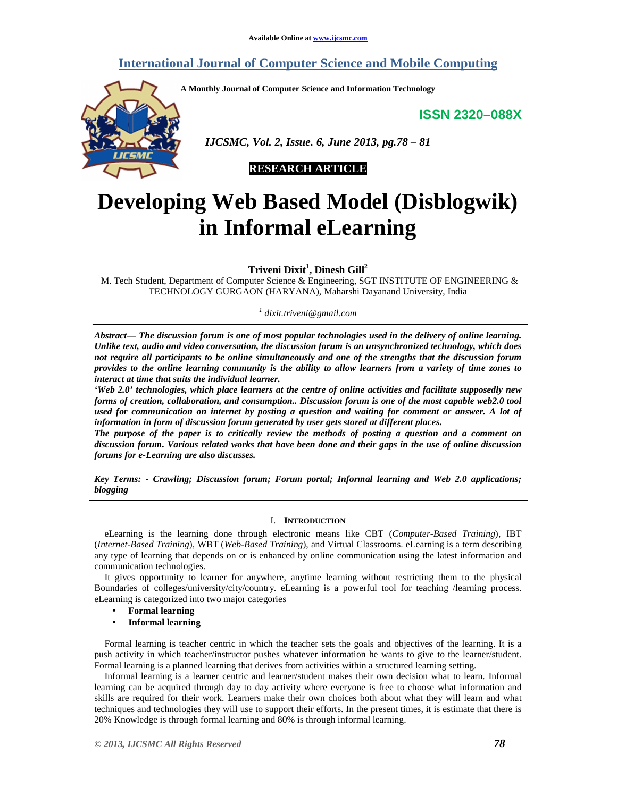# **International Journal of Computer Science and Mobile Computing**

**A Monthly Journal of Computer Science and Information Technology** 

**ISSN 2320–088X**



 *IJCSMC, Vol. 2, Issue. 6, June 2013, pg.78 – 81* 

# **RESEARCH ARTICLE**

# **Developing Web Based Model (Disblogwik) in Informal eLearning**

**Triveni Dixit<sup>1</sup> , Dinesh Gill<sup>2</sup>**

<sup>1</sup>M. Tech Student, Department of Computer Science & Engineering, SGT INSTITUTE OF ENGINEERING & TECHNOLOGY GURGAON (HARYANA), Maharshi Dayanand University, India

*1 dixit.triveni@gmail.com* 

*Abstract— The discussion forum is one of most popular technologies used in the delivery of online learning. Unlike text, audio and video conversation, the discussion forum is an unsynchronized technology, which does not require all participants to be online simultaneously and one of the strengths that the discussion forum provides to the online learning community is the ability to allow learners from a variety of time zones to interact at time that suits the individual learner.*

*'Web 2.0' technologies, which place learners at the centre of online activities and facilitate supposedly new forms of creation, collaboration, and consumption.. Discussion forum is one of the most capable web2.0 tool used for communication on internet by posting a question and waiting for comment or answer. A lot of information in form of discussion forum generated by user gets stored at different places.* 

*The purpose of the paper is to critically review the methods of posting a question and a comment on discussion forum. Various related works that have been done and their gaps in the use of online discussion forums for e-Learning are also discusses.* 

*Key Terms: - Crawling; Discussion forum; Forum portal; Informal learning and Web 2.0 applications; blogging* 

## I. **INTRODUCTION**

eLearning is the learning done through electronic means like CBT (*Computer-Based Training*), IBT (*Internet-Based Training*), WBT (*Web-Based Training*), and Virtual Classrooms. eLearning is a term describing any type of learning that depends on or is enhanced by online communication using the latest information and communication technologies.

It gives opportunity to learner for anywhere, anytime learning without restricting them to the physical Boundaries of colleges/university/city/country. eLearning is a powerful tool for teaching /learning process. eLearning is categorized into two major categories

- **Formal learning**
- **Informal learning**

Formal learning is teacher centric in which the teacher sets the goals and objectives of the learning. It is a push activity in which teacher/instructor pushes whatever information he wants to give to the learner/student. Formal learning is a planned learning that derives from activities within a structured learning setting.

Informal learning is a learner centric and learner/student makes their own decision what to learn. Informal learning can be acquired through day to day activity where everyone is free to choose what information and skills are required for their work. Learners make their own choices both about what they will learn and what techniques and technologies they will use to support their efforts. In the present times, it is estimate that there is 20% Knowledge is through formal learning and 80% is through informal learning.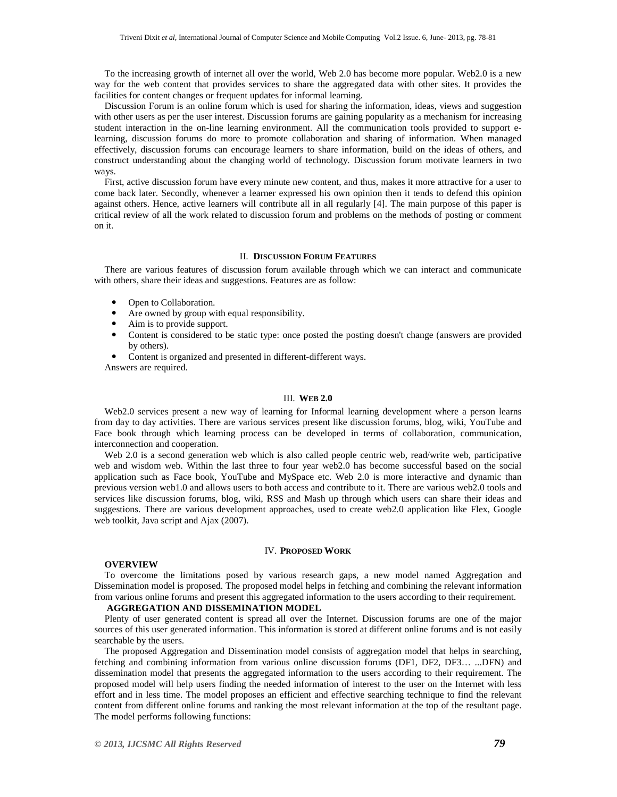To the increasing growth of internet all over the world, Web 2.0 has become more popular. Web2.0 is a new way for the web content that provides services to share the aggregated data with other sites. It provides the facilities for content changes or frequent updates for informal learning.

Discussion Forum is an online forum which is used for sharing the information, ideas, views and suggestion with other users as per the user interest. Discussion forums are gaining popularity as a mechanism for increasing student interaction in the on-line learning environment. All the communication tools provided to support elearning, discussion forums do more to promote collaboration and sharing of information. When managed effectively, discussion forums can encourage learners to share information, build on the ideas of others, and construct understanding about the changing world of technology. Discussion forum motivate learners in two ways.

First, active discussion forum have every minute new content, and thus, makes it more attractive for a user to come back later. Secondly, whenever a learner expressed his own opinion then it tends to defend this opinion against others. Hence, active learners will contribute all in all regularly [4]. The main purpose of this paper is critical review of all the work related to discussion forum and problems on the methods of posting or comment on it.

## II. **DISCUSSION FORUM FEATURES**

There are various features of discussion forum available through which we can interact and communicate with others, share their ideas and suggestions. Features are as follow:

- Open to Collaboration.<br>•  $\Delta$  required by group we
- Are owned by group with equal responsibility.
- Aim is to provide support.
- Content is considered to be static type: once posted the posting doesn't change (answers are provided by others).
- Content is organized and presented in different-different ways.

Answers are required.

# III. **WEB 2.0**

Web2.0 services present a new way of learning for Informal learning development where a person learns from day to day activities. There are various services present like discussion forums, blog, wiki, YouTube and Face book through which learning process can be developed in terms of collaboration, communication, interconnection and cooperation.

Web 2.0 is a second generation web which is also called people centric web, read/write web, participative web and wisdom web. Within the last three to four year web2.0 has become successful based on the social application such as Face book, YouTube and MySpace etc. Web 2.0 is more interactive and dynamic than previous version web1.0 and allows users to both access and contribute to it. There are various web2.0 tools and services like discussion forums, blog, wiki, RSS and Mash up through which users can share their ideas and suggestions. There are various development approaches, used to create web2.0 application like Flex, Google web toolkit, Java script and Ajax (2007).

### IV. **PROPOSED WORK**

# **OVERVIEW**

To overcome the limitations posed by various research gaps, a new model named Aggregation and Dissemination model is proposed. The proposed model helps in fetching and combining the relevant information from various online forums and present this aggregated information to the users according to their requirement.

# **AGGREGATION AND DISSEMINATION MODEL**

Plenty of user generated content is spread all over the Internet. Discussion forums are one of the major sources of this user generated information. This information is stored at different online forums and is not easily searchable by the users.

The proposed Aggregation and Dissemination model consists of aggregation model that helps in searching, fetching and combining information from various online discussion forums (DF1, DF2, DF3… ...DFN) and dissemination model that presents the aggregated information to the users according to their requirement. The proposed model will help users finding the needed information of interest to the user on the Internet with less effort and in less time. The model proposes an efficient and effective searching technique to find the relevant content from different online forums and ranking the most relevant information at the top of the resultant page. The model performs following functions: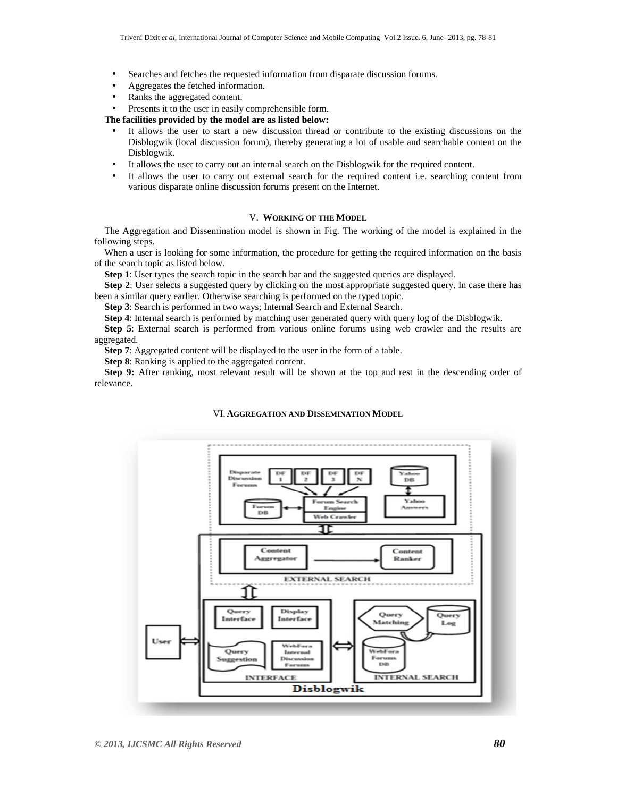- Searches and fetches the requested information from disparate discussion forums.
- Aggregates the fetched information.
- Ranks the aggregated content.
- Presents it to the user in easily comprehensible form.

## **The facilities provided by the model are as listed below:**

- It allows the user to start a new discussion thread or contribute to the existing discussions on the Disblogwik (local discussion forum), thereby generating a lot of usable and searchable content on the Disblogwik.
- It allows the user to carry out an internal search on the Disblogwik for the required content.
- It allows the user to carry out external search for the required content i.e. searching content from various disparate online discussion forums present on the Internet.

# V. **WORKING OF THE MODEL**

The Aggregation and Dissemination model is shown in Fig. The working of the model is explained in the following steps.

When a user is looking for some information, the procedure for getting the required information on the basis of the search topic as listed below.

**Step 1**: User types the search topic in the search bar and the suggested queries are displayed.

**Step 2**: User selects a suggested query by clicking on the most appropriate suggested query. In case there has been a similar query earlier. Otherwise searching is performed on the typed topic.

**Step 3**: Search is performed in two ways; Internal Search and External Search.

**Step 4**: Internal search is performed by matching user generated query with query log of the Disblogwik.

**Step 5**: External search is performed from various online forums using web crawler and the results are aggregated.

**Step 7**: Aggregated content will be displayed to the user in the form of a table.

**Step 8**: Ranking is applied to the aggregated content.

**Step 9:** After ranking, most relevant result will be shown at the top and rest in the descending order of relevance.

#### VI. **AGGREGATION AND DISSEMINATION MODEL**